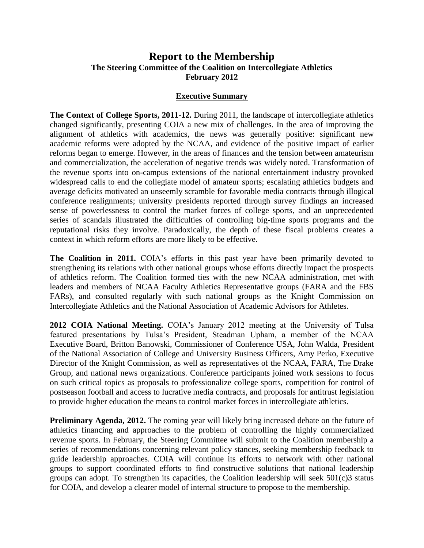# **Report to the Membership The Steering Committee of the Coalition on Intercollegiate Athletics February 2012**

### **Executive Summary**

**The Context of College Sports, 2011-12.** During 2011, the landscape of intercollegiate athletics changed significantly, presenting COIA a new mix of challenges. In the area of improving the alignment of athletics with academics, the news was generally positive: significant new academic reforms were adopted by the NCAA, and evidence of the positive impact of earlier reforms began to emerge. However, in the areas of finances and the tension between amateurism and commercialization, the acceleration of negative trends was widely noted. Transformation of the revenue sports into on-campus extensions of the national entertainment industry provoked widespread calls to end the collegiate model of amateur sports; escalating athletics budgets and average deficits motivated an unseemly scramble for favorable media contracts through illogical conference realignments; university presidents reported through survey findings an increased sense of powerlessness to control the market forces of college sports, and an unprecedented series of scandals illustrated the difficulties of controlling big-time sports programs and the reputational risks they involve. Paradoxically, the depth of these fiscal problems creates a context in which reform efforts are more likely to be effective.

**The Coalition in 2011.** COIA's efforts in this past year have been primarily devoted to strengthening its relations with other national groups whose efforts directly impact the prospects of athletics reform. The Coalition formed ties with the new NCAA administration, met with leaders and members of NCAA Faculty Athletics Representative groups (FARA and the FBS FARs), and consulted regularly with such national groups as the Knight Commission on Intercollegiate Athletics and the National Association of Academic Advisors for Athletes.

**2012 COIA National Meeting.** COIA's January 2012 meeting at the University of Tulsa featured presentations by Tulsa's President, Steadman Upham, a member of the NCAA Executive Board, Britton Banowski, Commissioner of Conference USA, John Walda, President of the National Association of College and University Business Officers, Amy Perko, Executive Director of the Knight Commission, as well as representatives of the NCAA, FARA, The Drake Group, and national news organizations. Conference participants joined work sessions to focus on such critical topics as proposals to professionalize college sports, competition for control of postseason football and access to lucrative media contracts, and proposals for antitrust legislation to provide higher education the means to control market forces in intercollegiate athletics.

**Preliminary Agenda, 2012.** The coming year will likely bring increased debate on the future of athletics financing and approaches to the problem of controlling the highly commercialized revenue sports. In February, the Steering Committee will submit to the Coalition membership a series of recommendations concerning relevant policy stances, seeking membership feedback to guide leadership approaches. COIA will continue its efforts to network with other national groups to support coordinated efforts to find constructive solutions that national leadership groups can adopt. To strengthen its capacities, the Coalition leadership will seek 501(c)3 status for COIA, and develop a clearer model of internal structure to propose to the membership.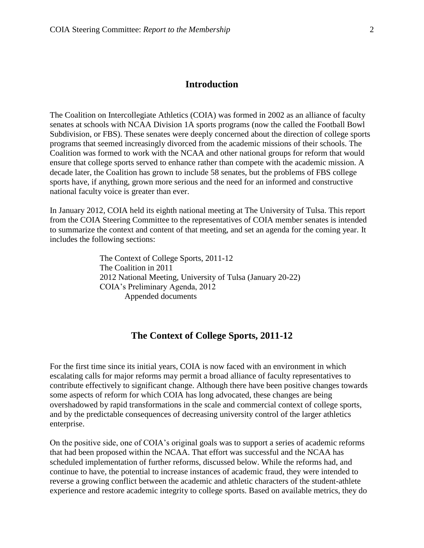# **Introduction**

The Coalition on Intercollegiate Athletics (COIA) was formed in 2002 as an alliance of faculty senates at schools with NCAA Division 1A sports programs (now the called the Football Bowl Subdivision, or FBS). These senates were deeply concerned about the direction of college sports programs that seemed increasingly divorced from the academic missions of their schools. The Coalition was formed to work with the NCAA and other national groups for reform that would ensure that college sports served to enhance rather than compete with the academic mission. A decade later, the Coalition has grown to include 58 senates, but the problems of FBS college sports have, if anything, grown more serious and the need for an informed and constructive national faculty voice is greater than ever.

In January 2012, COIA held its eighth national meeting at The University of Tulsa. This report from the COIA Steering Committee to the representatives of COIA member senates is intended to summarize the context and content of that meeting, and set an agenda for the coming year. It includes the following sections:

> The Context of College Sports, 2011-12 The Coalition in 2011 2012 National Meeting, University of Tulsa (January 20-22) COIA's Preliminary Agenda, 2012 Appended documents

## **The Context of College Sports, 2011-12**

For the first time since its initial years, COIA is now faced with an environment in which escalating calls for major reforms may permit a broad alliance of faculty representatives to contribute effectively to significant change. Although there have been positive changes towards some aspects of reform for which COIA has long advocated, these changes are being overshadowed by rapid transformations in the scale and commercial context of college sports, and by the predictable consequences of decreasing university control of the larger athletics enterprise.

On the positive side, one of COIA's original goals was to support a series of academic reforms that had been proposed within the NCAA. That effort was successful and the NCAA has scheduled implementation of further reforms, discussed below. While the reforms had, and continue to have, the potential to increase instances of academic fraud, they were intended to reverse a growing conflict between the academic and athletic characters of the student-athlete experience and restore academic integrity to college sports. Based on available metrics, they do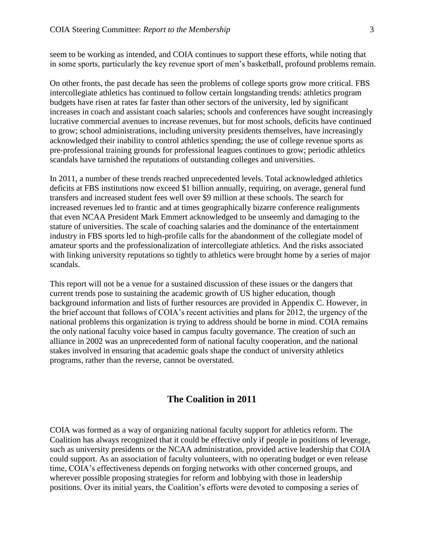seem to be working as intended, and COIA continues to support these efforts, while noting that in some sports, particularly the key revenue sport of men's basketball, profound problems remain.

On other fronts, the past decade has seen the problems of college sports grow more critical. FBS intercollegiate athletics has continued to follow certain longstanding trends: athletics program budgets have risen at rates far faster than other sectors of the university, led by significant increases in coach and assistant coach salaries; schools and conferences have sought increasingly lucrative commercial avenues to increase revenues, but for most schools, deficits have continued to grow; school administrations, including university presidents themselves, have increasingly acknowledged their inability to control athletics spending; the use of college revenue sports as pre-professional training grounds for professional leagues continues to grow; periodic athletics scandals have tarnished the reputations of outstanding colleges and universities.

In 2011, a number of these trends reached unprecedented levels. Total acknowledged athletics deficits at FBS institutions now exceed \$1 billion annually, requiring, on average, general fund transfers and increased student fees well over \$9 million at these schools. The search for increased revenues led to frantic and at times geographically bizarre conference realignments that even NCAA President Mark Emmert acknowledged to be unseemly and damaging to the stature of universities. The scale of coaching salaries and the dominance of the entertainment industry in FBS sports led to high-profile calls for the abandonment of the collegiate model of amateur sports and the professionalization of intercollegiate athletics. And the risks associated with linking university reputations so tightly to athletics were brought home by a series of major scandals.

This report will not be a venue for a sustained discussion of these issues or the dangers that current trends pose to sustaining the academic growth of US higher education, though background information and lists of further resources are provided in Appendix C. However, in the brief account that follows of COIA's recent activities and plans for 2012, the urgency of the national problems this organization is trying to address should be borne in mind. COIA remains the only national faculty voice based in campus faculty governance. The creation of such an alliance in 2002 was an unprecedented form of national faculty cooperation, and the national stakes involved in ensuring that academic goals shape the conduct of university athletics programs, rather than the reverse, cannot be overstated.

# **The Coalition in 2011**

COIA was formed as a way of organizing national faculty support for athletics reform. The Coalition has always recognized that it could be effective only if people in positions of leverage, such as university presidents or the NCAA administration, provided active leadership that COIA could support. As an association of faculty volunteers, with no operating budget or even release time, COIA's effectiveness depends on forging networks with other concerned groups, and wherever possible proposing strategies for reform and lobbying with those in leadership positions. Over its initial years, the Coalition's efforts were devoted to composing a series of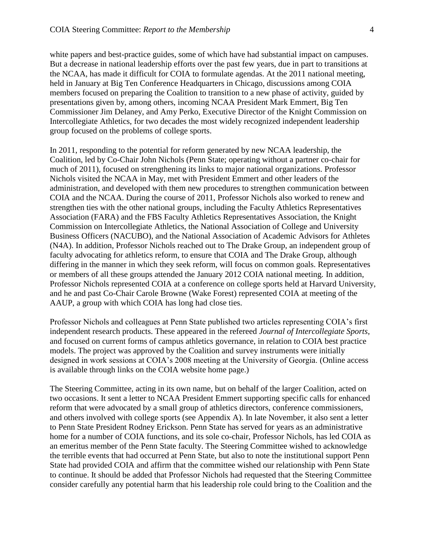white papers and best-practice guides, some of which have had substantial impact on campuses. But a decrease in national leadership efforts over the past few years, due in part to transitions at the NCAA, has made it difficult for COIA to formulate agendas. At the 2011 national meeting, held in January at Big Ten Conference Headquarters in Chicago, discussions among COIA members focused on preparing the Coalition to transition to a new phase of activity, guided by presentations given by, among others, incoming NCAA President Mark Emmert, Big Ten Commissioner Jim Delaney, and Amy Perko, Executive Director of the Knight Commission on Intercollegiate Athletics, for two decades the most widely recognized independent leadership group focused on the problems of college sports.

In 2011, responding to the potential for reform generated by new NCAA leadership, the Coalition, led by Co-Chair John Nichols (Penn State; operating without a partner co-chair for much of 2011), focused on strengthening its links to major national organizations. Professor Nichols visited the NCAA in May, met with President Emmert and other leaders of the administration, and developed with them new procedures to strengthen communication between COIA and the NCAA. During the course of 2011, Professor Nichols also worked to renew and strengthen ties with the other national groups, including the Faculty Athletics Representatives Association (FARA) and the FBS Faculty Athletics Representatives Association, the Knight Commission on Intercollegiate Athletics, the National Association of College and University Business Officers (NACUBO), and the National Association of Academic Advisors for Athletes (N4A). In addition, Professor Nichols reached out to The Drake Group, an independent group of faculty advocating for athletics reform, to ensure that COIA and The Drake Group, although differing in the manner in which they seek reform, will focus on common goals. Representatives or members of all these groups attended the January 2012 COIA national meeting. In addition, Professor Nichols represented COIA at a conference on college sports held at Harvard University, and he and past Co-Chair Carole Browne (Wake Forest) represented COIA at meeting of the AAUP, a group with which COIA has long had close ties.

Professor Nichols and colleagues at Penn State published two articles representing COIA's first independent research products. These appeared in the refereed *Journal of Intercollegiate Sports*, and focused on current forms of campus athletics governance, in relation to COIA best practice models. The project was approved by the Coalition and survey instruments were initially designed in work sessions at COIA's 2008 meeting at the University of Georgia. (Online access is available through links on the COIA website home page.)

The Steering Committee, acting in its own name, but on behalf of the larger Coalition, acted on two occasions. It sent a letter to NCAA President Emmert supporting specific calls for enhanced reform that were advocated by a small group of athletics directors, conference commissioners, and others involved with college sports (see Appendix A). In late November, it also sent a letter to Penn State President Rodney Erickson. Penn State has served for years as an administrative home for a number of COIA functions, and its sole co-chair, Professor Nichols, has led COIA as an emeritus member of the Penn State faculty. The Steering Committee wished to acknowledge the terrible events that had occurred at Penn State, but also to note the institutional support Penn State had provided COIA and affirm that the committee wished our relationship with Penn State to continue. It should be added that Professor Nichols had requested that the Steering Committee consider carefully any potential harm that his leadership role could bring to the Coalition and the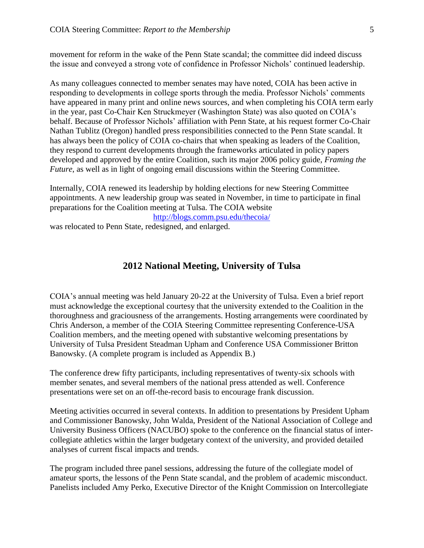movement for reform in the wake of the Penn State scandal; the committee did indeed discuss the issue and conveyed a strong vote of confidence in Professor Nichols' continued leadership.

As many colleagues connected to member senates may have noted, COIA has been active in responding to developments in college sports through the media. Professor Nichols' comments have appeared in many print and online news sources, and when completing his COIA term early in the year, past Co-Chair Ken Struckmeyer (Washington State) was also quoted on COIA's behalf. Because of Professor Nichols' affiliation with Penn State, at his request former Co-Chair Nathan Tublitz (Oregon) handled press responsibilities connected to the Penn State scandal. It has always been the policy of COIA co-chairs that when speaking as leaders of the Coalition, they respond to current developments through the frameworks articulated in policy papers developed and approved by the entire Coalition, such its major 2006 policy guide, *Framing the Future*, as well as in light of ongoing email discussions within the Steering Committee.

Internally, COIA renewed its leadership by holding elections for new Steering Committee appointments. A new leadership group was seated in November, in time to participate in final preparations for the Coalition meeting at Tulsa. The COIA website

<http://blogs.comm.psu.edu/thecoia/>

was relocated to Penn State, redesigned, and enlarged.

## **2012 National Meeting, University of Tulsa**

COIA's annual meeting was held January 20-22 at the University of Tulsa. Even a brief report must acknowledge the exceptional courtesy that the university extended to the Coalition in the thoroughness and graciousness of the arrangements. Hosting arrangements were coordinated by Chris Anderson, a member of the COIA Steering Committee representing Conference-USA Coalition members, and the meeting opened with substantive welcoming presentations by University of Tulsa President Steadman Upham and Conference USA Commissioner Britton Banowsky. (A complete program is included as Appendix B.)

The conference drew fifty participants, including representatives of twenty-six schools with member senates, and several members of the national press attended as well. Conference presentations were set on an off-the-record basis to encourage frank discussion.

Meeting activities occurred in several contexts. In addition to presentations by President Upham and Commissioner Banowsky, John Walda, President of the National Association of College and University Business Officers (NACUBO) spoke to the conference on the financial status of intercollegiate athletics within the larger budgetary context of the university, and provided detailed analyses of current fiscal impacts and trends.

The program included three panel sessions, addressing the future of the collegiate model of amateur sports, the lessons of the Penn State scandal, and the problem of academic misconduct. Panelists included Amy Perko, Executive Director of the Knight Commission on Intercollegiate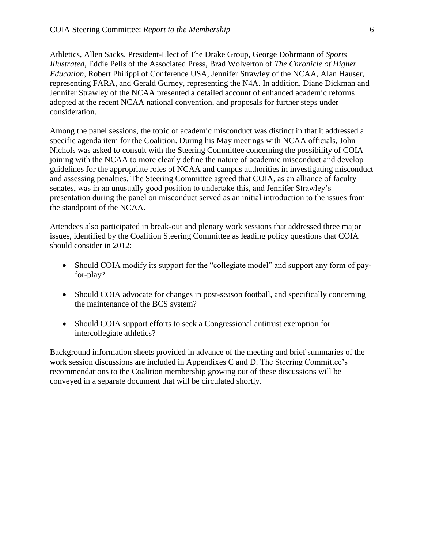Athletics, Allen Sacks, President-Elect of The Drake Group, George Dohrmann of *Sports Illustrated*, Eddie Pells of the Associated Press, Brad Wolverton of *The Chronicle of Higher Education*, Robert Philippi of Conference USA, Jennifer Strawley of the NCAA, Alan Hauser, representing FARA, and Gerald Gurney, representing the N4A. In addition, Diane Dickman and Jennifer Strawley of the NCAA presented a detailed account of enhanced academic reforms adopted at the recent NCAA national convention, and proposals for further steps under consideration.

Among the panel sessions, the topic of academic misconduct was distinct in that it addressed a specific agenda item for the Coalition. During his May meetings with NCAA officials, John Nichols was asked to consult with the Steering Committee concerning the possibility of COIA joining with the NCAA to more clearly define the nature of academic misconduct and develop guidelines for the appropriate roles of NCAA and campus authorities in investigating misconduct and assessing penalties. The Steering Committee agreed that COIA, as an alliance of faculty senates, was in an unusually good position to undertake this, and Jennifer Strawley's presentation during the panel on misconduct served as an initial introduction to the issues from the standpoint of the NCAA.

Attendees also participated in break-out and plenary work sessions that addressed three major issues, identified by the Coalition Steering Committee as leading policy questions that COIA should consider in 2012:

- Should COIA modify its support for the "collegiate model" and support any form of payfor-play?
- Should COIA advocate for changes in post-season football, and specifically concerning the maintenance of the BCS system?
- Should COIA support efforts to seek a Congressional antitrust exemption for intercollegiate athletics?

Background information sheets provided in advance of the meeting and brief summaries of the work session discussions are included in Appendixes C and D. The Steering Committee's recommendations to the Coalition membership growing out of these discussions will be conveyed in a separate document that will be circulated shortly.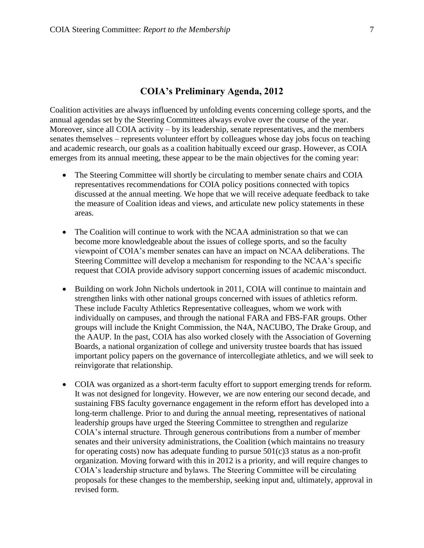# **COIA's Preliminary Agenda, 2012**

Coalition activities are always influenced by unfolding events concerning college sports, and the annual agendas set by the Steering Committees always evolve over the course of the year. Moreover, since all COIA activity – by its leadership, senate representatives, and the members senates themselves – represents volunteer effort by colleagues whose day jobs focus on teaching and academic research, our goals as a coalition habitually exceed our grasp. However, as COIA emerges from its annual meeting, these appear to be the main objectives for the coming year:

- The Steering Committee will shortly be circulating to member senate chairs and COIA representatives recommendations for COIA policy positions connected with topics discussed at the annual meeting. We hope that we will receive adequate feedback to take the measure of Coalition ideas and views, and articulate new policy statements in these areas.
- The Coalition will continue to work with the NCAA administration so that we can become more knowledgeable about the issues of college sports, and so the faculty viewpoint of COIA's member senates can have an impact on NCAA deliberations. The Steering Committee will develop a mechanism for responding to the NCAA's specific request that COIA provide advisory support concerning issues of academic misconduct.
- Building on work John Nichols undertook in 2011, COIA will continue to maintain and strengthen links with other national groups concerned with issues of athletics reform. These include Faculty Athletics Representative colleagues, whom we work with individually on campuses, and through the national FARA and FBS-FAR groups. Other groups will include the Knight Commission, the N4A, NACUBO, The Drake Group, and the AAUP. In the past, COIA has also worked closely with the Association of Governing Boards, a national organization of college and university trustee boards that has issued important policy papers on the governance of intercollegiate athletics, and we will seek to reinvigorate that relationship.
- COIA was organized as a short-term faculty effort to support emerging trends for reform. It was not designed for longevity. However, we are now entering our second decade, and sustaining FBS faculty governance engagement in the reform effort has developed into a long-term challenge. Prior to and during the annual meeting, representatives of national leadership groups have urged the Steering Committee to strengthen and regularize COIA's internal structure. Through generous contributions from a number of member senates and their university administrations, the Coalition (which maintains no treasury for operating costs) now has adequate funding to pursue  $501(c)$ 3 status as a non-profit organization. Moving forward with this in 2012 is a priority, and will require changes to COIA's leadership structure and bylaws. The Steering Committee will be circulating proposals for these changes to the membership, seeking input and, ultimately, approval in revised form.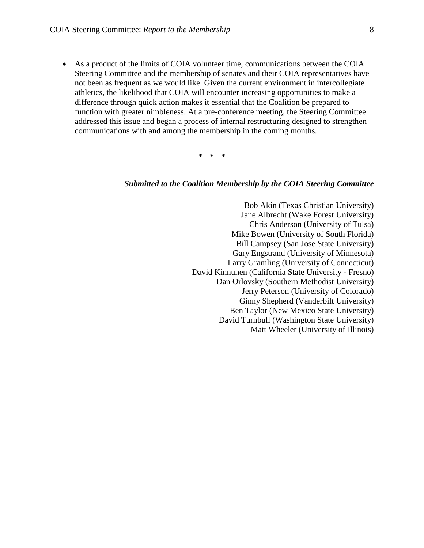As a product of the limits of COIA volunteer time, communications between the COIA Steering Committee and the membership of senates and their COIA representatives have not been as frequent as we would like. Given the current environment in intercollegiate athletics, the likelihood that COIA will encounter increasing opportunities to make a difference through quick action makes it essential that the Coalition be prepared to function with greater nimbleness. At a pre-conference meeting, the Steering Committee addressed this issue and began a process of internal restructuring designed to strengthen communications with and among the membership in the coming months.

**\* \* \***

#### *Submitted to the Coalition Membership by the COIA Steering Committee*

Bob Akin (Texas Christian University) Jane Albrecht (Wake Forest University) Chris Anderson (University of Tulsa) Mike Bowen (University of South Florida) Bill Campsey (San Jose State University) Gary Engstrand (University of Minnesota) Larry Gramling (University of Connecticut) David Kinnunen (California State University - Fresno) Dan Orlovsky (Southern Methodist University) Jerry Peterson (University of Colorado) Ginny Shepherd (Vanderbilt University) Ben Taylor (New Mexico State University) David Turnbull (Washington State University) Matt Wheeler (University of Illinois)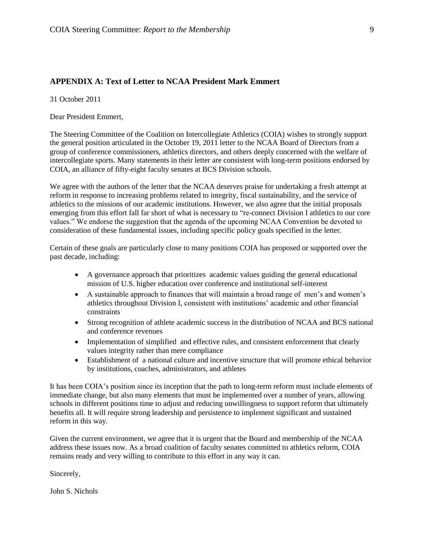### **APPENDIX A: Text of Letter to NCAA President Mark Emmert**

31 October 2011

Dear President Emmert,

The Steering Committee of the Coalition on Intercollegiate Athletics (COIA) wishes to strongly support the general position articulated in the October 19, 2011 letter to the NCAA Board of Directors from a group of conference commissioners, athletics directors, and others deeply concerned with the welfare of intercollegiate sports. Many statements in their letter are consistent with long-term positions endorsed by COIA, an alliance of fifty-eight faculty senates at BCS Division schools.

We agree with the authors of the letter that the NCAA deserves praise for undertaking a fresh attempt at reform in response to increasing problems related to integrity, fiscal sustainability, and the service of athletics to the missions of our academic institutions. However, we also agree that the initial proposals emerging from this effort fall far short of what is necessary to "re-connect Division I athletics to our core values." We endorse the suggestion that the agenda of the upcoming NCAA Convention be devoted to consideration of these fundamental issues, including specific policy goals specified in the letter.

Certain of these goals are particularly close to many positions COIA has proposed or supported over the past decade, including:

- A governance approach that prioritizes academic values guiding the general educational mission of U.S. higher education over conference and institutional self-interest
- A sustainable approach to finances that will maintain a broad range of men's and women's athletics throughout Division I, consistent with institutions' academic and other financial constraints
- Strong recognition of athlete academic success in the distribution of NCAA and BCS national and conference revenues
- Implementation of simplified and effective rules, and consistent enforcement that clearly values integrity rather than mere compliance
- Establishment of a national culture and incentive structure that will promote ethical behavior by institutions, coaches, administrators, and athletes

It has been COIA's position since its inception that the path to long-term reform must include elements of immediate change, but also many elements that must be implemented over a number of years, allowing schools in different positions time to adjust and reducing unwillingness to support reform that ultimately benefits all. It will require strong leadership and persistence to implement significant and sustained reform in this way.

Given the current environment, we agree that it is urgent that the Board and membership of the NCAA address these issues now. As a broad coalition of faculty senates committed to athletics reform, COIA remains ready and very willing to contribute to this effort in any way it can.

Sincerely,

John S. Nichols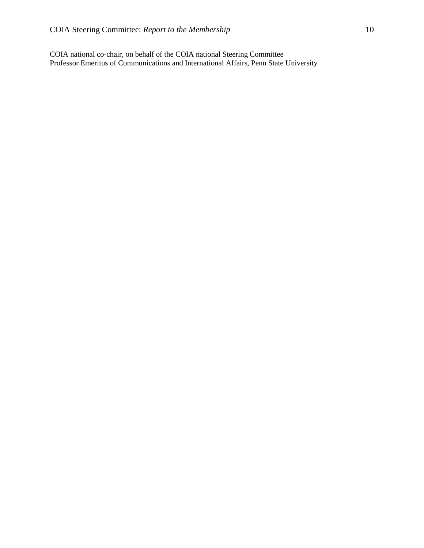COIA national co-chair, on behalf of the COIA national Steering Committee Professor Emeritus of Communications and International Affairs, Penn State University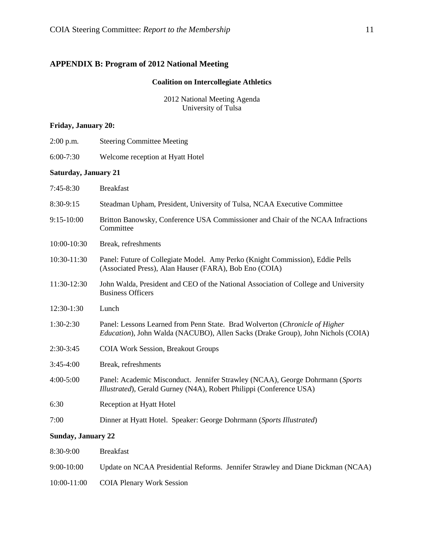# **APPENDIX B: Program of 2012 National Meeting**

## **Coalition on Intercollegiate Athletics**

2012 National Meeting Agenda University of Tulsa

### **Friday, January 20:**

| $2:00$ p.m.                 | <b>Steering Committee Meeting</b>                                                                                                                              |
|-----------------------------|----------------------------------------------------------------------------------------------------------------------------------------------------------------|
| $6:00-7:30$                 | Welcome reception at Hyatt Hotel                                                                                                                               |
| <b>Saturday, January 21</b> |                                                                                                                                                                |
| 7:45-8:30                   | <b>Breakfast</b>                                                                                                                                               |
| 8:30-9:15                   | Steadman Upham, President, University of Tulsa, NCAA Executive Committee                                                                                       |
| 9:15-10:00                  | Britton Banowsky, Conference USA Commissioner and Chair of the NCAA Infractions<br>Committee                                                                   |
| 10:00-10:30                 | Break, refreshments                                                                                                                                            |
| 10:30-11:30                 | Panel: Future of Collegiate Model. Amy Perko (Knight Commission), Eddie Pells<br>(Associated Press), Alan Hauser (FARA), Bob Eno (COIA)                        |
| 11:30-12:30                 | John Walda, President and CEO of the National Association of College and University<br><b>Business Officers</b>                                                |
| 12:30-1:30                  | Lunch                                                                                                                                                          |
| $1:30-2:30$                 | Panel: Lessons Learned from Penn State. Brad Wolverton (Chronicle of Higher<br>Education), John Walda (NACUBO), Allen Sacks (Drake Group), John Nichols (COIA) |
| 2:30-3:45                   | <b>COIA Work Session, Breakout Groups</b>                                                                                                                      |
| $3:45-4:00$                 | Break, refreshments                                                                                                                                            |
| 4:00-5:00                   | Panel: Academic Misconduct. Jennifer Strawley (NCAA), George Dohrmann (Sports<br>Illustrated), Gerald Gurney (N4A), Robert Philippi (Conference USA)           |
| 6:30                        | Reception at Hyatt Hotel                                                                                                                                       |
| 7:00                        | Dinner at Hyatt Hotel. Speaker: George Dohrmann (Sports Illustrated)                                                                                           |
| <b>Sunday, January 22</b>   |                                                                                                                                                                |
| 8:30-9:00                   | <b>Breakfast</b>                                                                                                                                               |
|                             |                                                                                                                                                                |

- 9:00-10:00 Update on NCAA Presidential Reforms. Jennifer Strawley and Diane Dickman (NCAA)
- 10:00-11:00 COIA Plenary Work Session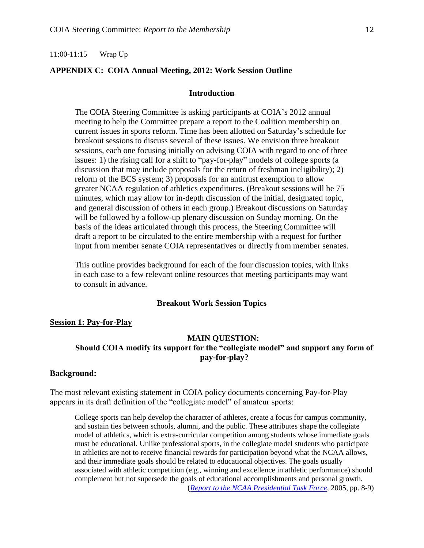#### 11:00-11:15 Wrap Up

### **APPENDIX C: COIA Annual Meeting, 2012: Work Session Outline**

#### **Introduction**

The COIA Steering Committee is asking participants at COIA's 2012 annual meeting to help the Committee prepare a report to the Coalition membership on current issues in sports reform. Time has been allotted on Saturday's schedule for breakout sessions to discuss several of these issues. We envision three breakout sessions, each one focusing initially on advising COIA with regard to one of three issues: 1) the rising call for a shift to "pay-for-play" models of college sports (a discussion that may include proposals for the return of freshman ineligibility); 2) reform of the BCS system; 3) proposals for an antitrust exemption to allow greater NCAA regulation of athletics expenditures. (Breakout sessions will be 75 minutes, which may allow for in-depth discussion of the initial, designated topic, and general discussion of others in each group.) Breakout discussions on Saturday will be followed by a follow-up plenary discussion on Sunday morning. On the basis of the ideas articulated through this process, the Steering Committee will draft a report to be circulated to the entire membership with a request for further input from member senate COIA representatives or directly from member senates.

This outline provides background for each of the four discussion topics, with links in each case to a few relevant online resources that meeting participants may want to consult in advance.

#### **Breakout Work Session Topics**

#### **Session 1: Pay-for-Play**

#### **MAIN QUESTION:**

# **Should COIA modify its support for the "collegiate model" and support any form of pay-for-play?**

#### **Background:**

The most relevant existing statement in COIA policy documents concerning Pay-for-Play appears in its draft definition of the "collegiate model" of amateur sports:

College sports can help develop the character of athletes, create a focus for campus community, and sustain ties between schools, alumni, and the public. These attributes shape the collegiate model of athletics, which is extra-curricular competition among students whose immediate goals must be educational. Unlike professional sports, in the collegiate model students who participate in athletics are not to receive financial rewards for participation beyond what the NCAA allows, and their immediate goals should be related to educational objectives. The goals usually associated with athletic competition (e.g., winning and excellence in athletic performance) should complement but not supersede the goals of educational accomplishments and personal growth. (*[Report to the NCAA Presidential Task Force](http://blogs.comm.psu.edu/thecoia/wp-content/uploads/A-Report-to-the-NCAA-Presidential-Task-Force-Members-2005.pdf)*, 2005, pp. 8-9)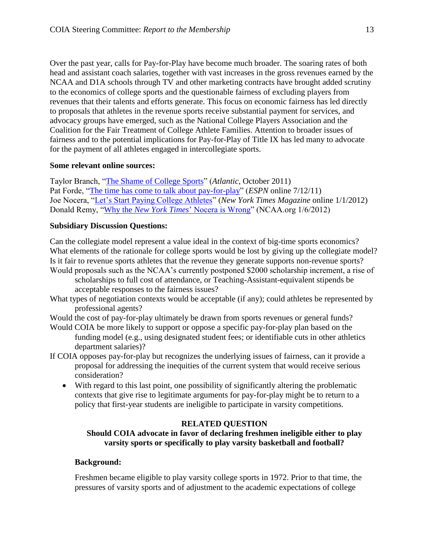Over the past year, calls for Pay-for-Play have become much broader. The soaring rates of both head and assistant coach salaries, together with vast increases in the gross revenues earned by the NCAA and D1A schools through TV and other marketing contracts have brought added scrutiny to the economics of college sports and the questionable fairness of excluding players from revenues that their talents and efforts generate. This focus on economic fairness has led directly to proposals that athletes in the revenue sports receive substantial payment for services, and advocacy groups have emerged, such as the National College Players Association and the Coalition for the Fair Treatment of College Athlete Families. Attention to broader issues of fairness and to the potential implications for Pay-for-Play of Title IX has led many to advocate for the payment of all athletes engaged in intercollegiate sports.

## **Some relevant online sources:**

Taylor Branch, ["The Shame of College Sports"](http://www.theatlantic.com/magazine/archive/2011/10/the-shame-of-college-sports/8643/) (*Atlantic*, October 2011) Pat Forde, ["The time has come to talk about pay-for-play"](http://sports.espn.go.com/ncaa/columns/story?columnist=forde_pat&id=6746255) (*ESPN* online 7/12/11) Joe Nocera, ["Let's Start Paying College Athletes"](http://www.nytimes.com/2012/01/01/magazine/lets-start-paying-college-athletes.html?_r=1&adxnnl=1&ref=magazine&adxnnlx=1325369645-p/j+0un9TsqfABJdT+JSzQ) (*New York Times Magazine* online 1/1/2012) Donald Remy, "Why the *New York Times*[' Nocera is Wrong"](http://www.ncaa.org/wps/wcm/connect/public/NCAA/Resources/Latest+News/2012/January/Why+the+New+York+Times+Nocera+is+wrong#.TwoF7LeOLsp.email) (NCAA.org 1/6/2012)

## **Subsidiary Discussion Questions:**

Can the collegiate model represent a value ideal in the context of big-time sports economics? What elements of the rationale for college sports would be lost by giving up the collegiate model? Is it fair to revenue sports athletes that the revenue they generate supports non-revenue sports? Would proposals such as the NCAA's currently postponed \$2000 scholarship increment, a rise of

- scholarships to full cost of attendance, or Teaching-Assistant-equivalent stipends be acceptable responses to the fairness issues?
- What types of negotiation contexts would be acceptable (if any); could athletes be represented by professional agents?

Would the cost of pay-for-play ultimately be drawn from sports revenues or general funds?

- Would COIA be more likely to support or oppose a specific pay-for-play plan based on the funding model (e.g., using designated student fees; or identifiable cuts in other athletics department salaries)?
- If COIA opposes pay-for-play but recognizes the underlying issues of fairness, can it provide a proposal for addressing the inequities of the current system that would receive serious consideration?
	- With regard to this last point, one possibility of significantly altering the problematic contexts that give rise to legitimate arguments for pay-for-play might be to return to a policy that first-year students are ineligible to participate in varsity competitions.

# **RELATED QUESTION**

# **Should COIA advocate in favor of declaring freshmen ineligible either to play varsity sports or specifically to play varsity basketball and football?**

# **Background:**

Freshmen became eligible to play varsity college sports in 1972. Prior to that time, the pressures of varsity sports and of adjustment to the academic expectations of college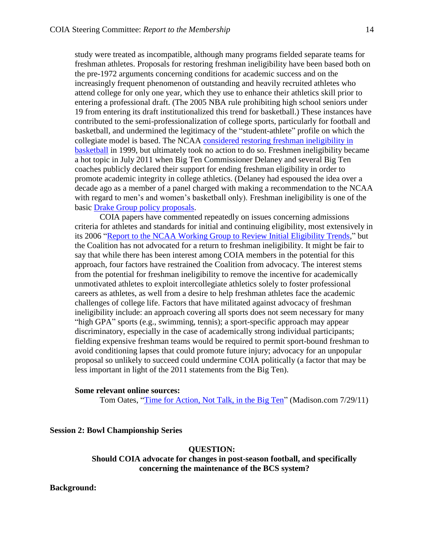study were treated as incompatible, although many programs fielded separate teams for freshman athletes. Proposals for restoring freshman ineligibility have been based both on the pre-1972 arguments concerning conditions for academic success and on the increasingly frequent phenomenon of outstanding and heavily recruited athletes who attend college for only one year, which they use to enhance their athletics skill prior to entering a professional draft. (The 2005 NBA rule prohibiting high school seniors under 19 from entering its draft institutionalized this trend for basketball.) These instances have contributed to the semi-professionalization of college sports, particularly for football and basketball, and undermined the legitimacy of the "student-athlete" profile on which the collegiate model is based. The NCAA [considered restoring freshman ineligibility in](http://www.nytimes.com/1999/06/10/sports/colleges-panel-studies-freshman-eligibility-in-basketball.html)  [basketball](http://www.nytimes.com/1999/06/10/sports/colleges-panel-studies-freshman-eligibility-in-basketball.html) in 1999, but ultimately took no action to do so. Freshmen ineligibility became a hot topic in July 2011 when Big Ten Commissioner Delaney and several Big Ten coaches publicly declared their support for ending freshman eligibility in order to promote academic integrity in college athletics. (Delaney had espoused the idea over a decade ago as a member of a panel charged with making a recommendation to the NCAA with regard to men's and women's basketball only). Freshman ineligibility is one of the basic [Drake Group policy proposals.](http://www.thedrakegroup.org/TDG_Proposals.pdf)

COIA papers have commented repeatedly on issues concerning admissions criteria for athletes and standards for initial and continuing eligibility, most extensively in its 2006 "Report to the NCAA [Working Group to Review Initial Eligibility Trends,](http://blogs.comm.psu.edu/thecoia/wp-content/uploads/A-Report-to-the-NCAA-Working-Group-to-Review-Initial-Eligibility-Trends-2006.pdf)" but the Coalition has not advocated for a return to freshman ineligibility. It might be fair to say that while there has been interest among COIA members in the potential for this approach, four factors have restrained the Coalition from advocacy. The interest stems from the potential for freshman ineligibility to remove the incentive for academically unmotivated athletes to exploit intercollegiate athletics solely to foster professional careers as athletes, as well from a desire to help freshman athletes face the academic challenges of college life. Factors that have militated against advocacy of freshman ineligibility include: an approach covering all sports does not seem necessary for many "high GPA" sports (e.g., swimming, tennis); a sport-specific approach may appear discriminatory, especially in the case of academically strong individual participants; fielding expensive freshman teams would be required to permit sport-bound freshman to avoid conditioning lapses that could promote future injury; advocacy for an unpopular proposal so unlikely to succeed could undermine COIA politically (a factor that may be less important in light of the 2011 statements from the Big Ten).

#### **Some relevant online sources:**

Tom Oates, ["Time for Action, Not Talk, in the Big Ten"](http://host.madison.com/mobile/article_1a6aeeba-b94f-11e0-9a25-001cc4c03286.html) (Madison.com 7/29/11)

**Session 2: Bowl Championship Series**

**QUESTION:**

**Should COIA advocate for changes in post-season football, and specifically concerning the maintenance of the BCS system?**

**Background:**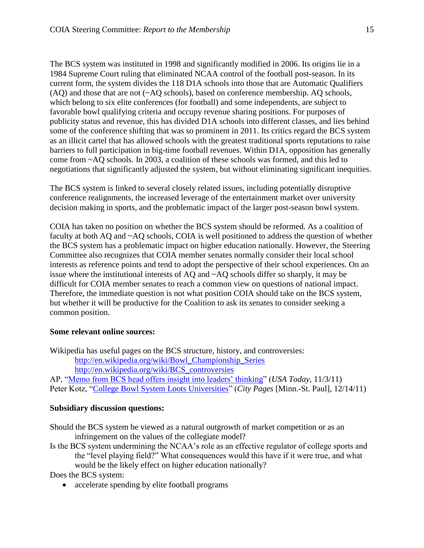The BCS system was instituted in 1998 and significantly modified in 2006. Its origins lie in a 1984 Supreme Court ruling that eliminated NCAA control of the football post-season. In its current form, the system divides the 118 D1A schools into those that are Automatic Qualifiers (AQ) and those that are not (~AQ schools), based on conference membership. AQ schools, which belong to six elite conferences (for football) and some independents, are subject to favorable bowl qualifying criteria and occupy revenue sharing positions. For purposes of publicity status and revenue, this has divided D1A schools into different classes, and lies behind some of the conference shifting that was so prominent in 2011. Its critics regard the BCS system as an illicit cartel that has allowed schools with the greatest traditional sports reputations to raise barriers to full participation in big-time football revenues. Within D1A, opposition has generally come from ~AQ schools. In 2003, a coalition of these schools was formed, and this led to negotiations that significantly adjusted the system, but without eliminating significant inequities.

The BCS system is linked to several closely related issues, including potentially disruptive conference realignments, the increased leverage of the entertainment market over university decision making in sports, and the problematic impact of the larger post-season bowl system.

COIA has taken no position on whether the BCS system should be reformed. As a coalition of faculty at both AQ and ~AQ schools, COIA is well positioned to address the question of whether the BCS system has a problematic impact on higher education nationally. However, the Steering Committee also recognizes that COIA member senates normally consider their local school interests as reference points and tend to adopt the perspective of their school experiences. On an issue where the institutional interests of AQ and ~AQ schools differ so sharply, it may be difficult for COIA member senates to reach a common view on questions of national impact. Therefore, the immediate question is not what position COIA should take on the BCS system, but whether it will be productive for the Coalition to ask its senates to consider seeking a common position.

### **Some relevant online sources:**

Wikipedia has useful pages on the BCS structure, history, and controversies: [http://en.wikipedia.org/wiki/Bowl\\_Championship\\_Series](http://en.wikipedia.org/wiki/Bowl_Championship_Series) [http://en.wikipedia.org/wiki/BCS\\_controversies](http://en.wikipedia.org/wiki/BCS_controversies)

AP, ["Memo from BCS head offers insight into leaders' thinking"](http://www.usatoday.com/sports/college/football/story/2011-11-03/bcs-antitrust-challenge/51063122/1) (*USA Today*, 11/3/11) Peter Kotz, ["College Bowl System Loots Universities"](http://www.citypages.com/2011-12-14/news/college-bowl-system-loots-universities/) (*City Pages* [Minn.-St. Paul], 12/14/11)

### **Subsidiary discussion questions:**

Should the BCS system be viewed as a natural outgrowth of market competition or as an infringement on the values of the collegiate model?

Is the BCS system undermining the NCAA's role as an effective regulator of college sports and the "level playing field?" What consequences would this have if it were true, and what would be the likely effect on higher education nationally?

Does the BCS system:

• accelerate spending by elite football programs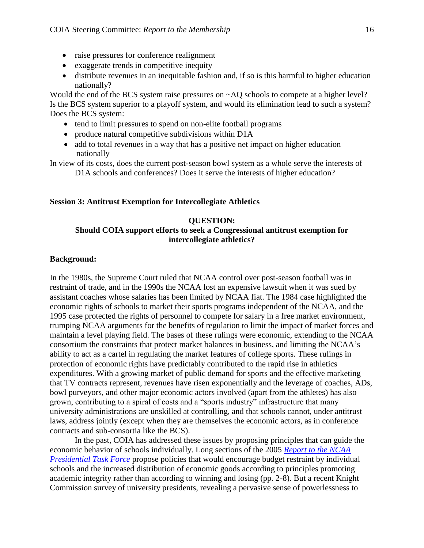- raise pressures for conference realignment
- exaggerate trends in competitive inequity
- distribute revenues in an inequitable fashion and, if so is this harmful to higher education nationally?

Would the end of the BCS system raise pressures on  $\sim$ AQ schools to compete at a higher level? Is the BCS system superior to a playoff system, and would its elimination lead to such a system? Does the BCS system:

- tend to limit pressures to spend on non-elite football programs
- produce natural competitive subdivisions within D1A
- add to total revenues in a way that has a positive net impact on higher education nationally

In view of its costs, does the current post-season bowl system as a whole serve the interests of D1A schools and conferences? Does it serve the interests of higher education?

### **Session 3: Antitrust Exemption for Intercollegiate Athletics**

#### **QUESTION:**

### **Should COIA support efforts to seek a Congressional antitrust exemption for intercollegiate athletics?**

#### **Background:**

In the 1980s, the Supreme Court ruled that NCAA control over post-season football was in restraint of trade, and in the 1990s the NCAA lost an expensive lawsuit when it was sued by assistant coaches whose salaries has been limited by NCAA fiat. The 1984 case highlighted the economic rights of schools to market their sports programs independent of the NCAA, and the 1995 case protected the rights of personnel to compete for salary in a free market environment, trumping NCAA arguments for the benefits of regulation to limit the impact of market forces and maintain a level playing field. The bases of these rulings were economic, extending to the NCAA consortium the constraints that protect market balances in business, and limiting the NCAA's ability to act as a cartel in regulating the market features of college sports. These rulings in protection of economic rights have predictably contributed to the rapid rise in athletics expenditures. With a growing market of public demand for sports and the effective marketing that TV contracts represent, revenues have risen exponentially and the leverage of coaches, ADs, bowl purveyors, and other major economic actors involved (apart from the athletes) has also grown, contributing to a spiral of costs and a "sports industry" infrastructure that many university administrations are unskilled at controlling, and that schools cannot, under antitrust laws, address jointly (except when they are themselves the economic actors, as in conference contracts and sub-consortia like the BCS).

In the past, COIA has addressed these issues by proposing principles that can guide the economic behavior of schools individually. Long sections of the 2005 *[Report to the NCAA](http://blogs.comm.psu.edu/thecoia/wp-content/uploads/A-Report-to-the-NCAA-Presidential-Task-Force-Members-2005.pdf)  [Presidential Task Force](http://blogs.comm.psu.edu/thecoia/wp-content/uploads/A-Report-to-the-NCAA-Presidential-Task-Force-Members-2005.pdf)* propose policies that would encourage budget restraint by individual schools and the increased distribution of economic goods according to principles promoting academic integrity rather than according to winning and losing (pp. 2-8). But a recent Knight Commission survey of university presidents, revealing a pervasive sense of powerlessness to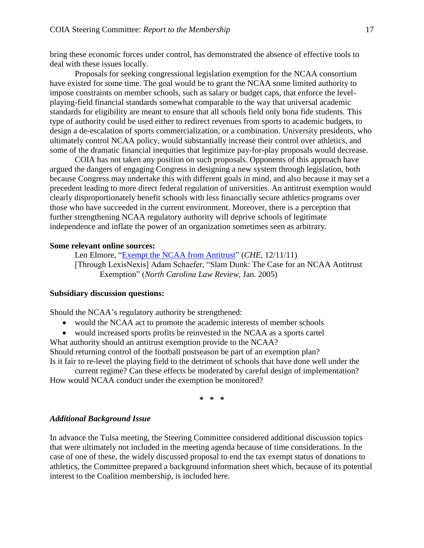bring these economic forces under control, has demonstrated the absence of effective tools to deal with these issues locally.

Proposals for seeking congressional legislation exemption for the NCAA consortium have existed for some time. The goal would be to grant the NCAA some limited authority to impose constraints on member schools, such as salary or budget caps, that enforce the levelplaying-field financial standards somewhat comparable to the way that universal academic standards for eligibility are meant to ensure that all schools field only bona fide students. This type of authority could be used either to redirect revenues from sports to academic budgets, to design a de-escalation of sports commercialization, or a combination. University presidents, who ultimately control NCAA policy, would substantially increase their control over athletics, and some of the dramatic financial inequities that legitimize pay-for-play proposals would decrease.

COIA has not taken any position on such proposals. Opponents of this approach have argued the dangers of engaging Congress in designing a new system through legislation, both because Congress may undertake this with different goals in mind, and also because it may set a precedent leading to more direct federal regulation of universities. An antitrust exemption would clearly disproportionately benefit schools with less financially secure athletics programs over those who have succeeded in the current environment. Moreover, there is a perception that further strengthening NCAA regulatory authority will deprive schools of legitimate independence and inflate the power of an organization sometimes seen as arbitrary.

#### **Some relevant online sources:**

Len Elmore, ["Exempt the NCAA from Antitrust"](http://chronicle.com/article/Exempt-the-NCAA-From-Antitrust/130073/) (*CHE*, 12/11/11) [Through LexisNexis] Adam Schaefer, "Slam Dunk: The Case for an NCAA Antitrust Exemption" (*North Carolina Law Review*, Jan. 2005)

#### **Subsidiary discussion questions:**

Should the NCAA's regulatory authority be strengthened:

- would the NCAA act to promote the academic interests of member schools
- would increased sports profits be reinvested in the NCAA as a sports cartel What authority should an antitrust exemption provide to the NCAA?

Should returning control of the football postseason be part of an exemption plan? Is it fair to re-level the playing field to the detriment of schools that have done well under the

current regime? Can these effects be moderated by careful design of implementation? How would NCAA conduct under the exemption be monitored?

**\* \* \***

#### *Additional Background Issue*

In advance the Tulsa meeting, the Steering Committee considered additional discussion topics that were ultimately not included in the meeting agenda because of time considerations. In the case of one of these, the widely discussed proposal to end the tax exempt status of donations to athletics, the Committee prepared a background information sheet which, because of its potential interest to the Coalition membership, is included here.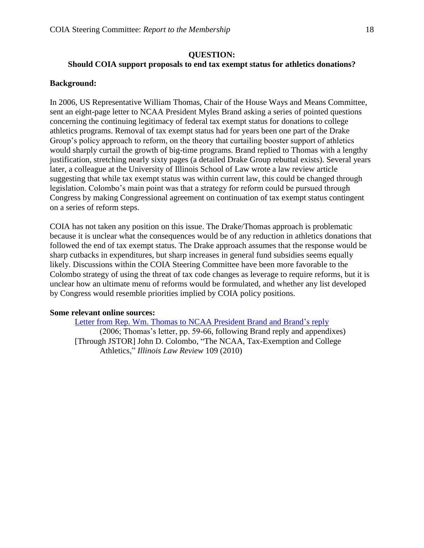### **QUESTION:**

## **Should COIA support proposals to end tax exempt status for athletics donations?**

### **Background:**

In 2006, US Representative William Thomas, Chair of the House Ways and Means Committee, sent an eight-page letter to NCAA President Myles Brand asking a series of pointed questions concerning the continuing legitimacy of federal tax exempt status for donations to college athletics programs. Removal of tax exempt status had for years been one part of the Drake Group's policy approach to reform, on the theory that curtailing booster support of athletics would sharply curtail the growth of big-time programs. Brand replied to Thomas with a lengthy justification, stretching nearly sixty pages (a detailed Drake Group rebuttal exists). Several years later, a colleague at the University of Illinois School of Law wrote a law review article suggesting that while tax exempt status was within current law, this could be changed through legislation. Colombo's main point was that a strategy for reform could be pursued through Congress by making Congressional agreement on continuation of tax exempt status contingent on a series of reform steps.

COIA has not taken any position on this issue. The Drake/Thomas approach is problematic because it is unclear what the consequences would be of any reduction in athletics donations that followed the end of tax exempt status. The Drake approach assumes that the response would be sharp cutbacks in expenditures, but sharp increases in general fund subsidies seems equally likely. Discussions within the COIA Steering Committee have been more favorable to the Colombo strategy of using the threat of tax code changes as leverage to require reforms, but it is unclear how an ultimate menu of reforms would be formulated, and whether any list developed by Congress would resemble priorities implied by COIA policy positions.

### **Some relevant online sources:**

[Letter from Rep. Wm. Thomas to](http://charitygovernance.blogs.com/charity_governance/files/20061115_response_to_housecommitteeonwaysandmeans.pdf) NCAA President Brand and Brand's reply (2006; Thomas's letter, pp. 59-66, following Brand reply and appendixes) [Through JSTOR] John D. Colombo, "The NCAA, Tax-Exemption and College Athletics," *Illinois Law Review* 109 (2010)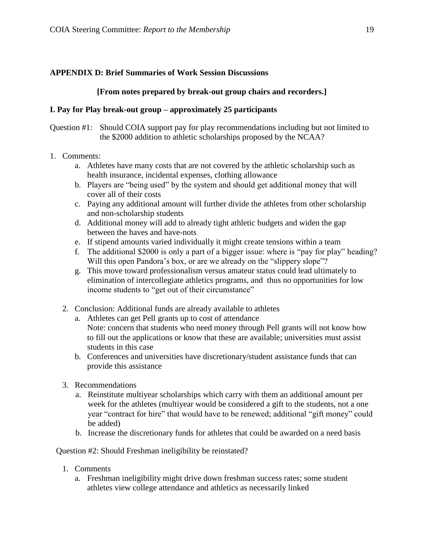# **APPENDIX D: Brief Summaries of Work Session Discussions**

# **[From notes prepared by break-out group chairs and recorders.]**

## **I. Pay for Play break-out group – approximately 25 participants**

Question #1: Should COIA support pay for play recommendations including but not limited to the \$2000 addition to athletic scholarships proposed by the NCAA?

- 1. Comments:
	- a. Athletes have many costs that are not covered by the athletic scholarship such as health insurance, incidental expenses, clothing allowance
	- b. Players are "being used" by the system and should get additional money that will cover all of their costs
	- c. Paying any additional amount will further divide the athletes from other scholarship and non-scholarship students
	- d. Additional money will add to already tight athletic budgets and widen the gap between the haves and have-nots
	- e. If stipend amounts varied individually it might create tensions within a team
	- f. The additional \$2000 is only a part of a bigger issue: where is "pay for play" heading? Will this open Pandora's box, or are we already on the "slippery slope"?
	- g. This move toward professionalism versus amateur status could lead ultimately to elimination of intercollegiate athletics programs, and thus no opportunities for low income students to "get out of their circumstance"
	- 2. Conclusion: Additional funds are already available to athletes
		- a. Athletes can get Pell grants up to cost of attendance Note: concern that students who need money through Pell grants will not know how to fill out the applications or know that these are available; universities must assist students in this case
		- b. Conferences and universities have discretionary/student assistance funds that can provide this assistance
	- 3. Recommendations
		- a. Reinstitute multiyear scholarships which carry with them an additional amount per week for the athletes (multiyear would be considered a gift to the students, not a one year "contract for hire" that would have to be renewed; additional "gift money" could be added)
		- b. Increase the discretionary funds for athletes that could be awarded on a need basis

Question #2: Should Freshman ineligibility be reinstated?

- 1. Comments
	- a. Freshman ineligibility might drive down freshman success rates; some student athletes view college attendance and athletics as necessarily linked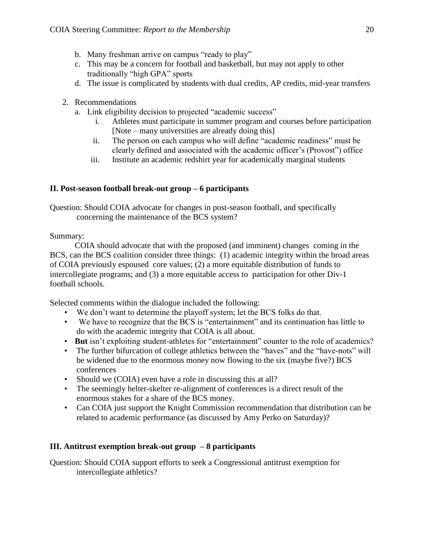- b. Many freshman arrive on campus "ready to play"
- c. This may be a concern for football and basketball, but may not apply to other traditionally "high GPA" sports
- d. The issue is complicated by students with dual credits, AP credits, mid-year transfers
- 2. Recommendations
	- a. Link eligibility decision to projected "academic success"
		- i. Athletes must participate in summer program and courses before participation [Note – many universities are already doing this]
		- ii. The person on each campus who will define "academic readiness" must be clearly defined and associated with the academic officer's (Provost") office
		- iii. Institute an academic redshirt year for academically marginal students

# **II. Post-season football break-out group – 6 participants**

Question: Should COIA advocate for changes in post-season football, and specifically concerning the maintenance of the BCS system?

Summary:

COIA should advocate that with the proposed (and imminent) changes coming in the BCS, can the BCS coalition consider three things: (1) academic integrity within the broad areas of COIA previously espoused core values; (2) a more equitable distribution of funds to intercollegiate programs; and (3) a more equitable access to participation for other Div-1 football schools.

Selected comments within the dialogue included the following:

- We don't want to determine the playoff system; let the BCS folks do that.
- We have to recognize that the BCS is "entertainment" and its continuation has little to do with the academic integrity that COIA is all about.
- **But** isn't exploiting student-athletes for "entertainment" counter to the role of academics?
- The further bifurcation of college athletics between the "haves" and the "have-nots" will be widened due to the enormous money now flowing to the six (maybe five?) BCS conferences
- Should we (COIA) even have a role in discussing this at all?
- The seemingly helter-skelter re-alignment of conferences is a direct result of the enormous stakes for a share of the BCS money.
- Can COIA just support the Knight Commission recommendation that distribution can be related to academic performance (as discussed by Amy Perko on Saturday)?

# **III. Antitrust exemption break-out group – 8 participants**

Question: Should COIA support efforts to seek a Congressional antitrust exemption for intercollegiate athletics?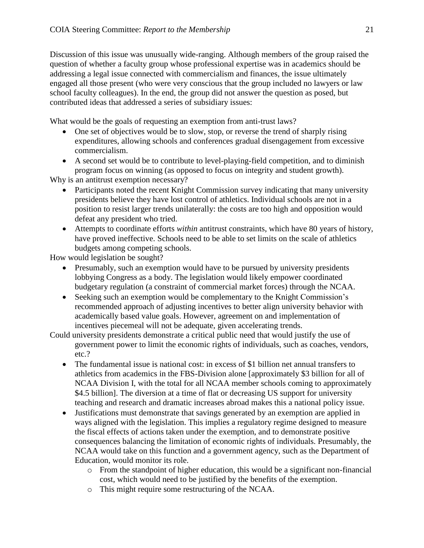Discussion of this issue was unusually wide-ranging. Although members of the group raised the question of whether a faculty group whose professional expertise was in academics should be addressing a legal issue connected with commercialism and finances, the issue ultimately engaged all those present (who were very conscious that the group included no lawyers or law school faculty colleagues). In the end, the group did not answer the question as posed, but contributed ideas that addressed a series of subsidiary issues:

What would be the goals of requesting an exemption from anti-trust laws?

- One set of objectives would be to slow, stop, or reverse the trend of sharply rising expenditures, allowing schools and conferences gradual disengagement from excessive commercialism.
- A second set would be to contribute to level-playing-field competition, and to diminish program focus on winning (as opposed to focus on integrity and student growth).

Why is an antitrust exemption necessary?

- Participants noted the recent Knight Commission survey indicating that many university presidents believe they have lost control of athletics. Individual schools are not in a position to resist larger trends unilaterally: the costs are too high and opposition would defeat any president who tried.
- Attempts to coordinate efforts *within* antitrust constraints, which have 80 years of history, have proved ineffective. Schools need to be able to set limits on the scale of athletics budgets among competing schools.

How would legislation be sought?

- Presumably, such an exemption would have to be pursued by university presidents lobbying Congress as a body. The legislation would likely empower coordinated budgetary regulation (a constraint of commercial market forces) through the NCAA.
- Seeking such an exemption would be complementary to the Knight Commission's recommended approach of adjusting incentives to better align university behavior with academically based value goals. However, agreement on and implementation of incentives piecemeal will not be adequate, given accelerating trends.
- Could university presidents demonstrate a critical public need that would justify the use of government power to limit the economic rights of individuals, such as coaches, vendors, etc.?
	- The fundamental issue is national cost: in excess of \$1 billion net annual transfers to athletics from academics in the FBS-Division alone [approximately \$3 billion for all of NCAA Division I, with the total for all NCAA member schools coming to approximately \$4.5 billion]. The diversion at a time of flat or decreasing US support for university teaching and research and dramatic increases abroad makes this a national policy issue.
	- Justifications must demonstrate that savings generated by an exemption are applied in ways aligned with the legislation. This implies a regulatory regime designed to measure the fiscal effects of actions taken under the exemption, and to demonstrate positive consequences balancing the limitation of economic rights of individuals. Presumably, the NCAA would take on this function and a government agency, such as the Department of Education, would monitor its role.
		- $\circ$  From the standpoint of higher education, this would be a significant non-financial cost, which would need to be justified by the benefits of the exemption.
		- o This might require some restructuring of the NCAA.